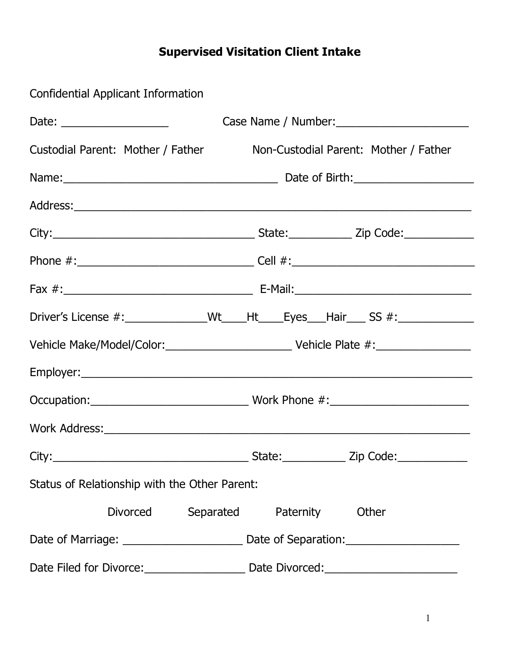## **Supervised Visitation Client Intake**

Confidential Applicant Information

| Date: $\frac{1}{\sqrt{1-\frac{1}{2}}}\frac{1}{\sqrt{1-\frac{1}{2}}}\frac{1}{\sqrt{1-\frac{1}{2}}}\frac{1}{\sqrt{1-\frac{1}{2}}}\frac{1}{\sqrt{1-\frac{1}{2}}}\frac{1}{\sqrt{1-\frac{1}{2}}}\frac{1}{\sqrt{1-\frac{1}{2}}}\frac{1}{\sqrt{1-\frac{1}{2}}}\frac{1}{\sqrt{1-\frac{1}{2}}}\frac{1}{\sqrt{1-\frac{1}{2}}}\frac{1}{\sqrt{1-\frac{1}{2}}}\frac{1}{\sqrt{1-\frac{1}{2}}}\frac{1}{\sqrt{1-\frac{1}{2}}}\frac{1}{\$ |                                                                                  |  |  |  |
|--------------------------------------------------------------------------------------------------------------------------------------------------------------------------------------------------------------------------------------------------------------------------------------------------------------------------------------------------------------------------------------------------------------------------|----------------------------------------------------------------------------------|--|--|--|
| Custodial Parent: Mother / Father                                                                                                                                                                                                                                                                                                                                                                                        | Non-Custodial Parent: Mother / Father                                            |  |  |  |
|                                                                                                                                                                                                                                                                                                                                                                                                                          |                                                                                  |  |  |  |
|                                                                                                                                                                                                                                                                                                                                                                                                                          |                                                                                  |  |  |  |
|                                                                                                                                                                                                                                                                                                                                                                                                                          |                                                                                  |  |  |  |
|                                                                                                                                                                                                                                                                                                                                                                                                                          |                                                                                  |  |  |  |
|                                                                                                                                                                                                                                                                                                                                                                                                                          |                                                                                  |  |  |  |
|                                                                                                                                                                                                                                                                                                                                                                                                                          | Driver's License #:______________Wt____Ht____Eyes___Hair____ SS #:______________ |  |  |  |
|                                                                                                                                                                                                                                                                                                                                                                                                                          |                                                                                  |  |  |  |
|                                                                                                                                                                                                                                                                                                                                                                                                                          |                                                                                  |  |  |  |
|                                                                                                                                                                                                                                                                                                                                                                                                                          |                                                                                  |  |  |  |
|                                                                                                                                                                                                                                                                                                                                                                                                                          |                                                                                  |  |  |  |
|                                                                                                                                                                                                                                                                                                                                                                                                                          |                                                                                  |  |  |  |
| Status of Relationship with the Other Parent:                                                                                                                                                                                                                                                                                                                                                                            |                                                                                  |  |  |  |
|                                                                                                                                                                                                                                                                                                                                                                                                                          | Divorced Separated Paternity Other                                               |  |  |  |
|                                                                                                                                                                                                                                                                                                                                                                                                                          |                                                                                  |  |  |  |
| Date Filed for Divorce:                                                                                                                                                                                                                                                                                                                                                                                                  |                                                                                  |  |  |  |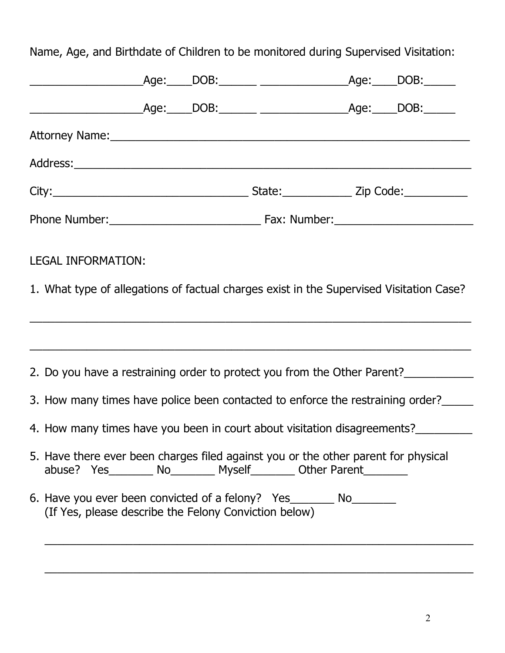Name, Age, and Birthdate of Children to be monitored during Supervised Visitation:

| <b>LEGAL INFORMATION:</b>                                                                                                                                      |  |  |
|----------------------------------------------------------------------------------------------------------------------------------------------------------------|--|--|
| 1. What type of allegations of factual charges exist in the Supervised Visitation Case?                                                                        |  |  |
| <u> 1989 - Andrea Santa Andrea Santa Andrea Santa Andrea Santa Andrea Santa Andrea Santa Andrea Santa Andrea San</u>                                           |  |  |
| 2. Do you have a restraining order to protect you from the Other Parent?                                                                                       |  |  |
| 3. How many times have police been contacted to enforce the restraining order?                                                                                 |  |  |
| 4. How many times have you been in court about visitation disagreements?                                                                                       |  |  |
| 5. Have there ever been charges filed against you or the other parent for physical<br>abuse? Yes__________ No__________ Myself_________ Other Parent__________ |  |  |
| 6. Have you ever been convicted of a felony? Yes__________ No_________<br>(If Yes, please describe the Felony Conviction below)                                |  |  |
|                                                                                                                                                                |  |  |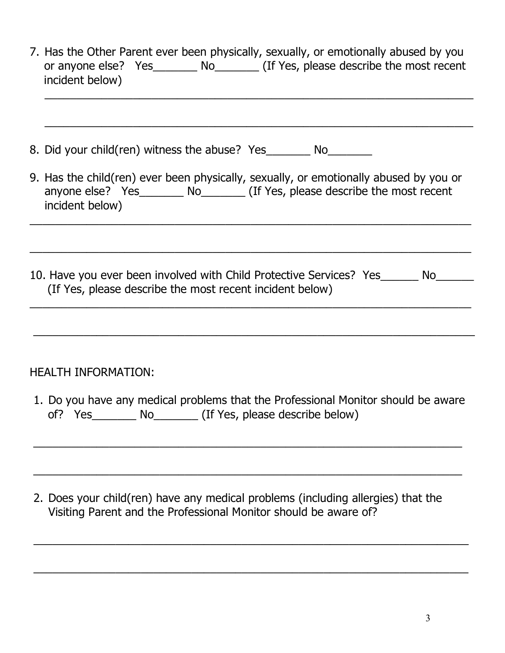| 7. Has the Other Parent ever been physically, sexually, or emotionally abused by you<br>or anyone else? Yes _________ No_________ (If Yes, please describe the most recent<br>incident below)    |  |  |
|--------------------------------------------------------------------------------------------------------------------------------------------------------------------------------------------------|--|--|
|                                                                                                                                                                                                  |  |  |
| 8. Did your child(ren) witness the abuse? Yes__________ No__________                                                                                                                             |  |  |
| 9. Has the child(ren) ever been physically, sexually, or emotionally abused by you or<br>anyone else? Yes____________ No____________ (If Yes, please describe the most recent<br>incident below) |  |  |
|                                                                                                                                                                                                  |  |  |
| 10. Have you ever been involved with Child Protective Services? Yes_______ No______<br>(If Yes, please describe the most recent incident below)                                                  |  |  |
|                                                                                                                                                                                                  |  |  |
| <b>HEALTH INFORMATION:</b>                                                                                                                                                                       |  |  |
| 1. Do you have any medical problems that the Professional Monitor should be aware<br>of? $Yes$<br>__ No__________ (If Yes, please describe below)                                                |  |  |
|                                                                                                                                                                                                  |  |  |
|                                                                                                                                                                                                  |  |  |

2. Does your child(ren) have any medical problems (including allergies) that the Visiting Parent and the Professional Monitor should be aware of?

 $\_$  , and the set of the set of the set of the set of the set of the set of the set of the set of the set of the set of the set of the set of the set of the set of the set of the set of the set of the set of the set of th

\_\_\_\_\_\_\_\_\_\_\_\_\_\_\_\_\_\_\_\_\_\_\_\_\_\_\_\_\_\_\_\_\_\_\_\_\_\_\_\_\_\_\_\_\_\_\_\_\_\_\_\_\_\_\_\_\_\_\_\_\_\_\_\_\_\_\_\_\_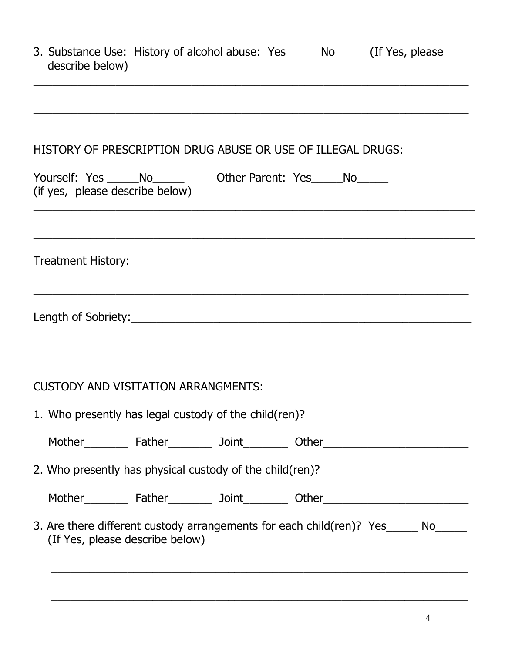| describe below) | 3. Substance Use: History of alcohol abuse: Yes | No. | (If Yes, please) |
|-----------------|-------------------------------------------------|-----|------------------|
|                 |                                                 |     |                  |

\_\_\_\_\_\_\_\_\_\_\_\_\_\_\_\_\_\_\_\_\_\_\_\_\_\_\_\_\_\_\_\_\_\_\_\_\_\_\_\_\_\_\_\_\_\_\_\_\_\_\_\_\_\_\_\_\_\_\_\_\_\_\_\_\_\_\_\_\_

## HISTORY OF PRESCRIPTION DRUG ABUSE OR USE OF ILLEGAL DRUGS:

| Yourself: Yes _______No________________Other Parent: Yes ______No_______<br>(if yes, please describe below)          |  |  |  |  |
|----------------------------------------------------------------------------------------------------------------------|--|--|--|--|
|                                                                                                                      |  |  |  |  |
|                                                                                                                      |  |  |  |  |
|                                                                                                                      |  |  |  |  |
| <b>CUSTODY AND VISITATION ARRANGMENTS:</b>                                                                           |  |  |  |  |
| 1. Who presently has legal custody of the child (ren)?                                                               |  |  |  |  |
|                                                                                                                      |  |  |  |  |
| 2. Who presently has physical custody of the child(ren)?                                                             |  |  |  |  |
|                                                                                                                      |  |  |  |  |
| 3. Are there different custody arrangements for each child(ren)? Yes_____ No_____<br>(If Yes, please describe below) |  |  |  |  |

 $\overline{\phantom{a}}$  , and the contribution of the contribution of the contribution of the contribution of the contribution of the contribution of the contribution of the contribution of the contribution of the contribution of the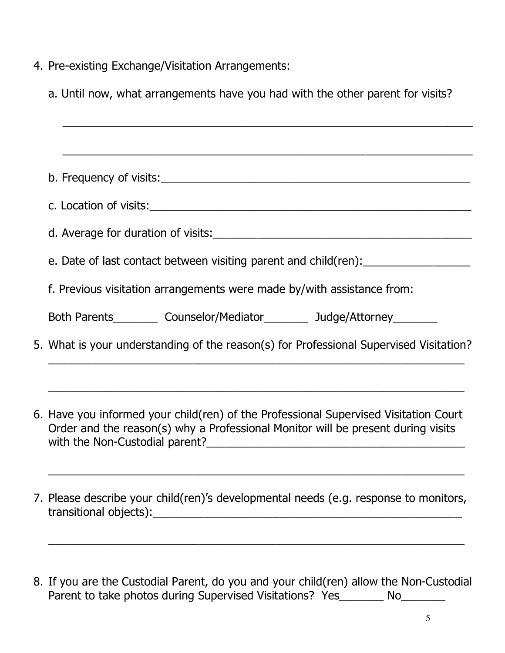- 4. Pre-existing Exchange/Visitation Arrangements:
	- a. Until now, what arrangements have you had with the other parent for visits?

| e. Date of last contact between visiting parent and child(ren):                        |
|----------------------------------------------------------------------------------------|
| f. Previous visitation arrangements were made by/with assistance from:                 |
| Both Parents____________ Counselor/Mediator____________ Judge/Attorney__________       |
| 5. What is your understanding of the reason(s) for Professional Supervised Visitation? |

- 6. Have you informed your child(ren) of the Professional Supervised Visitation Court Order and the reason(s) why a Professional Monitor will be present during visits with the Non-Custodial parent?\_\_\_\_\_\_\_\_\_\_\_\_\_\_\_\_\_\_\_\_\_\_\_\_\_\_\_\_\_\_\_\_\_\_\_\_\_\_\_\_\_
- 7. Please describe your child(ren)'s developmental needs (e.g. response to monitors, transitional objects):

\_\_\_\_\_\_\_\_\_\_\_\_\_\_\_\_\_\_\_\_\_\_\_\_\_\_\_\_\_\_\_\_\_\_\_\_\_\_\_\_\_\_\_\_\_\_\_\_\_\_\_\_\_\_\_\_\_\_\_\_\_\_\_\_\_\_

8. If you are the Custodial Parent, do you and your child(ren) allow the Non-Custodial Parent to take photos during Supervised Visitations? Yes\_\_\_\_\_\_\_ No\_\_\_\_\_\_\_

\_\_\_\_\_\_\_\_\_\_\_\_\_\_\_\_\_\_\_\_\_\_\_\_\_\_\_\_\_\_\_\_\_\_\_\_\_\_\_\_\_\_\_\_\_\_\_\_\_\_\_\_\_\_\_\_\_\_\_\_\_\_\_\_\_\_